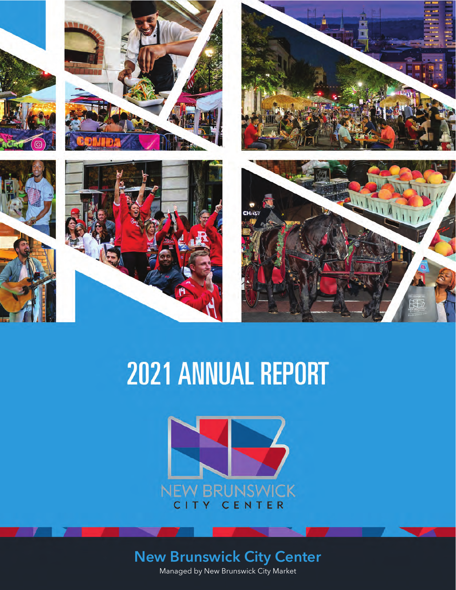









# 2021 ANNUAL REPORT



## **New Brunswick City Center**

Managed by New Brunswick City Market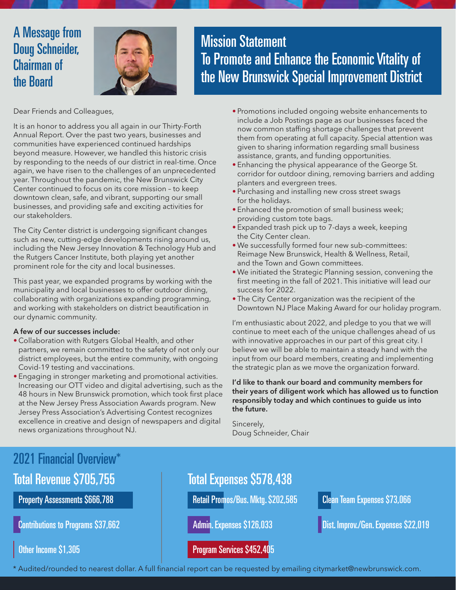### A Message from Doug Schneider, Chairman of the Board



Mission Statement To Promote and Enhance the Economic Vitality of the New Brunswick Special Improvement District

Dear Friends and Colleagues,

It is an honor to address you all again in our Thirty-Forth Annual Report. Over the past two years, businesses and communities have experienced continued hardships beyond measure. However, we handled this historic crisis by responding to the needs of our district in real-time. Once again, we have risen to the challenges of an unprecedented year. Throughout the pandemic, the New Brunswick City Center continued to focus on its core mission – to keep downtown clean, safe, and vibrant, supporting our small businesses, and providing safe and exciting activities for our stakeholders.

The City Center district is undergoing significant changes such as new, cutting-edge developments rising around us, including the New Jersey Innovation & Technology Hub and the Rutgers Cancer Institute, both playing yet another prominent role for the city and local businesses.

This past year, we expanded programs by working with the municipality and local businesses to offer outdoor dining, collaborating with organizations expanding programming, and working with stakeholders on district beautification in our dynamic community.

#### **A few of our successes include:**

- Collaboration with Rutgers Global Health, and other partners, we remain committed to the safety of not only our district employees, but the entire community, with ongoing Covid-19 testing and vaccinations.
- Engaging in stronger marketing and promotional activities. Increasing our OTT video and digital advertising, such as the 48 hours in New Brunswick promotion, which took first place at the New Jersey Press Association Awards program. New Jersey Press Association's Advertising Contest recognizes excellence in creative and design of newspapers and digital news organizations throughout NJ.
- Promotions included ongoing website enhancements to include a Job Postings page as our businesses faced the now common staffing shortage challenges that prevent them from operating at full capacity. Special attention was given to sharing information regarding small business assistance, grants, and funding opportunities.
- Enhancing the physical appearance of the George St. corridor for outdoor dining, removing barriers and adding planters and evergreen trees.
- Purchasing and installing new cross street swags for the holidays.
- Enhanced the promotion of small business week; providing custom tote bags.
- Expanded trash pick up to 7-days a week, keeping the City Center clean.
- We successfully formed four new sub-committees: Reimage New Brunswick, Health & Wellness, Retail, and the Town and Gown committees.
- We initiated the Strategic Planning session, convening the first meeting in the fall of 2021. This initiative will lead our success for 2022.
- The City Center organization was the recipient of the Downtown NJ Place Making Award for our holiday program.

I'm enthusiastic about 2022, and pledge to you that we will continue to meet each of the unique challenges ahead of us with innovative approaches in our part of this great city. I believe we will be able to maintain a steady hand with the input from our board members, creating and implementing the strategic plan as we move the organization forward.

**I'd like to thank our board and community members for their years of diligent work which has allowed us to function responsibly today and which continues to guide us into the future.**

Sincerely, Doug Schneider, Chair

### 2021 Financial Overview\*

### Total Revenue \$705,755 Total Expenses \$578,438

Property Assessments \$666,788

Contributions to Programs \$37,662

Other Income \$1,305

Retail Promos/Bus. Mktg. \$202,585

Admin. Expenses \$126,033

#### Program Services \$452,405

Clean Team Expenses \$73,066

Dist. Improv./Gen. Expenses \$22,019

\* Audited/rounded to nearest dollar. A full financial report can be requested by emailing citymarket@newbrunswick.com.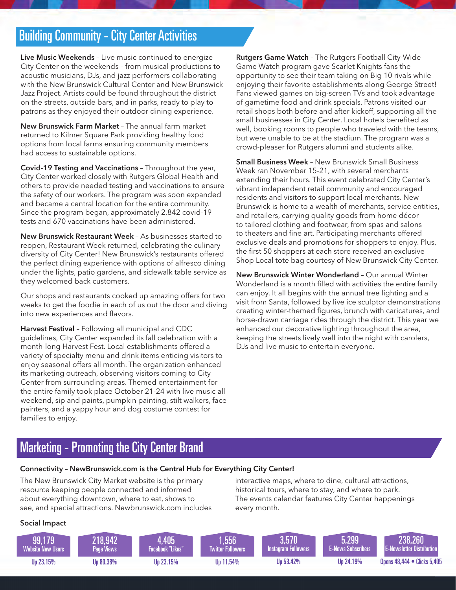### Building Community - City Center Activities

**Live Music Weekends** – Live music continued to energize City Center on the weekends – from musical productions to acoustic musicians, DJs, and jazz performers collaborating with the New Brunswick Cultural Center and New Brunswick Jazz Project. Artists could be found throughout the district on the streets, outside bars, and in parks, ready to play to patrons as they enjoyed their outdoor dining experience.

**New Brunswick Farm Market** – The annual farm market returned to Kilmer Square Park providing healthy food options from local farms ensuring community members had access to sustainable options.

**Covid-19 Testing and Vaccinations** – Throughout the year, City Center worked closely with Rutgers Global Health and others to provide needed testing and vaccinations to ensure the safety of our workers. The program was soon expanded and became a central location for the entire community. Since the program began, approximately 2,842 covid-19 tests and 670 vaccinations have been administered.

**New Brunswick Restaurant Week** – As businesses started to reopen, Restaurant Week returned, celebrating the culinary diversity of City Center! New Brunswick's restaurants offered the perfect dining experience with options of alfresco dining under the lights, patio gardens, and sidewalk table service as they welcomed back customers.

Our shops and restaurants cooked up amazing offers for two weeks to get the foodie in each of us out the door and diving into new experiences and flavors.

**Harvest Festival** – Following all municipal and CDC guidelines, City Center expanded its fall celebration with a month-long Harvest Fest. Local establishments offered a variety of specialty menu and drink items enticing visitors to enjoy seasonal offers all month. The organization enhanced its marketing outreach, observing visitors coming to City Center from surrounding areas. Themed entertainment for the entire family took place October 21-24 with live music all weekend, sip and paints, pumpkin painting, stilt walkers, face painters, and a yappy hour and dog costume contest for families to enjoy.

**Rutgers Game Watch** – The Rutgers Football City-Wide Game Watch program gave Scarlet Knights fans the opportunity to see their team taking on Big 10 rivals while enjoying their favorite establishments along George Street! Fans viewed games on big-screen TVs and took advantage of gametime food and drink specials. Patrons visited our retail shops both before and after kickoff, supporting all the small businesses in City Center. Local hotels benefited as well, booking rooms to people who traveled with the teams, but were unable to be at the stadium. The program was a crowd-pleaser for Rutgers alumni and students alike.

**Small Business Week** – New Brunswick Small Business Week ran November 15-21, with several merchants extending their hours. This event celebrated City Center's vibrant independent retail community and encouraged residents and visitors to support local merchants. New Brunswick is home to a wealth of merchants, service entities, and retailers, carrying quality goods from home décor to tailored clothing and footwear, from spas and salons to theaters and fine art. Participating merchants offered exclusive deals and promotions for shoppers to enjoy. Plus, the first 50 shoppers at each store received an exclusive Shop Local tote bag courtesy of New Brunswick City Center.

**New Brunswick Winter Wonderland** – Our annual Winter Wonderland is a month filled with activities the entire family can enjoy. It all begins with the annual tree lighting and a visit from Santa, followed by live ice sculptor demonstrations creating winter-themed figures, brunch with caricatures, and horse-drawn carriage rides through the district. This year we enhanced our decorative lighting throughout the area, keeping the streets lively well into the night with carolers, DJs and live music to entertain everyone.

### Marketing - Promoting the City Center Brand

#### **Connectivity – NewBrunswick.com is the Central Hub for Everything City Center!**

The New Brunswick City Market website is the primary resource keeping people connected and informed about everything downtown, where to eat, shows to see, and special attractions. Newbrunswick.com includes interactive maps, where to dine, cultural attractions, historical tours, where to stay, and where to park. The events calendar features City Center happenings every month.

#### **Social Impact**